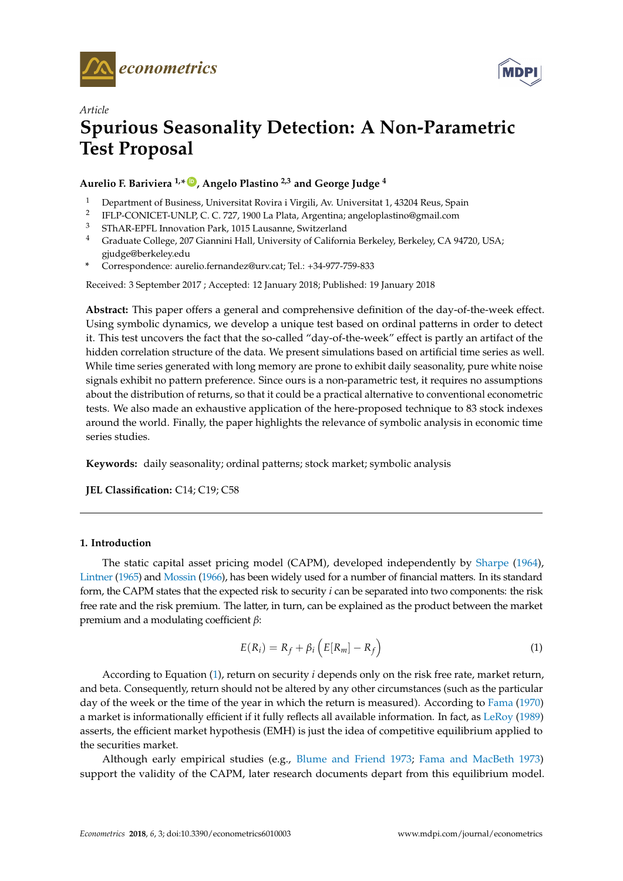



# *Article* **Spurious Seasonality Detection: A Non-Parametric Test Proposal**

**Aurelio F. Bariviera 1,\* [ID](https://orcid.org/0000-0003-1014-1010) , Angelo Plastino 2,3 and George Judge <sup>4</sup>**

- <sup>1</sup> Department of Business, Universitat Rovira i Virgili, Av. Universitat 1, 43204 Reus, Spain
- 2 IFLP-CONICET-UNLP, C. C. 727, 1900 La Plata, Argentina; angeloplastino@gmail.com
- <sup>3</sup> SThAR-EPFL Innovation Park, 1015 Lausanne, Switzerland
- <sup>4</sup> Graduate College, 207 Giannini Hall, University of California Berkeley, Berkeley, CA 94720, USA; gjudge@berkeley.edu
- **\*** Correspondence: aurelio.fernandez@urv.cat; Tel.: +34-977-759-833

Received: 3 September 2017 ; Accepted: 12 January 2018; Published: 19 January 2018

**Abstract:** This paper offers a general and comprehensive definition of the day-of-the-week effect. Using symbolic dynamics, we develop a unique test based on ordinal patterns in order to detect it. This test uncovers the fact that the so-called "day-of-the-week" effect is partly an artifact of the hidden correlation structure of the data. We present simulations based on artificial time series as well. While time series generated with long memory are prone to exhibit daily seasonality, pure white noise signals exhibit no pattern preference. Since ours is a non-parametric test, it requires no assumptions about the distribution of returns, so that it could be a practical alternative to conventional econometric tests. We also made an exhaustive application of the here-proposed technique to 83 stock indexes around the world. Finally, the paper highlights the relevance of symbolic analysis in economic time series studies.

**Keywords:** daily seasonality; ordinal patterns; stock market; symbolic analysis

**JEL Classification:** C14; C19; C58

## <span id="page-0-1"></span>**1. Introduction**

The static capital asset pricing model (CAPM), developed independently by [Sharpe](#page-14-0) [\(1964\)](#page-14-0), [Lintner](#page-14-1) [\(1965\)](#page-14-1) and [Mossin](#page-14-2) [\(1966\)](#page-14-2), has been widely used for a number of financial matters. In its standard form, the CAPM states that the expected risk to security *i* can be separated into two components: the risk free rate and the risk premium. The latter, in turn, can be explained as the product between the market premium and a modulating coefficient *β*:

<span id="page-0-0"></span>
$$
E(R_i) = R_f + \beta_i \left( E[R_m] - R_f \right) \tag{1}
$$

According to Equation [\(1\)](#page-0-0), return on security *i* depends only on the risk free rate, market return, and beta. Consequently, return should not be altered by any other circumstances (such as the particular day of the week or the time of the year in which the return is measured). According to [Fama](#page-13-0) [\(1970\)](#page-13-0) a market is informationally efficient if it fully reflects all available information. In fact, as [LeRoy](#page-14-3) [\(1989\)](#page-14-3) asserts, the efficient market hypothesis (EMH) is just the idea of competitive equilibrium applied to the securities market.

Although early empirical studies (e.g., [Blume and Friend](#page-13-1) [1973;](#page-13-1) [Fama and MacBeth](#page-13-2) [1973\)](#page-13-2) support the validity of the CAPM, later research documents depart from this equilibrium model.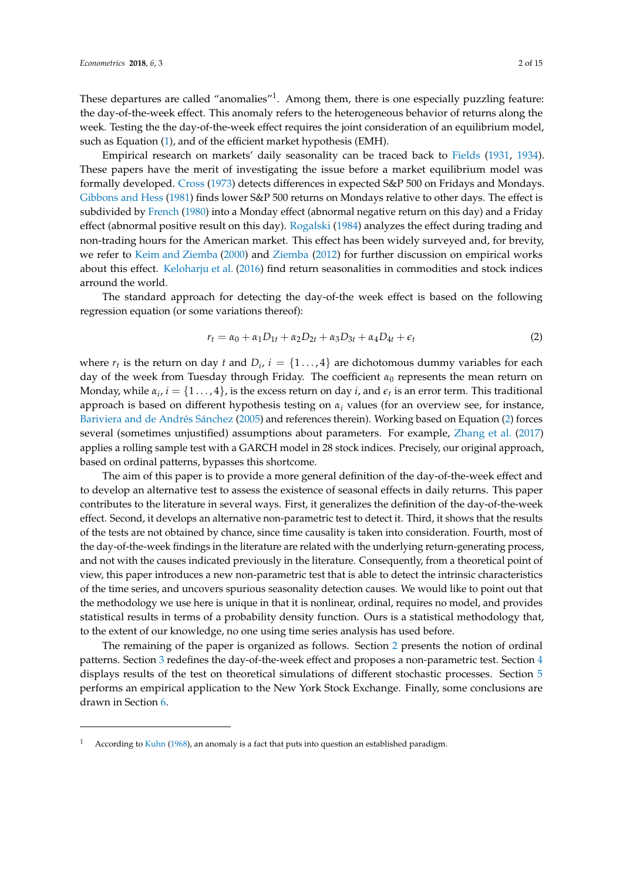These departures are called "anomalies"<sup>1</sup>. Among them, there is one especially puzzling feature: the day-of-the-week effect. This anomaly refers to the heterogeneous behavior of returns along the week. Testing the the day-of-the-week effect requires the joint consideration of an equilibrium model, such as Equation [\(1\)](#page-0-0), and of the efficient market hypothesis (EMH).

Empirical research on markets' daily seasonality can be traced back to [Fields](#page-13-3) [\(1931,](#page-13-3) [1934\)](#page-13-4). These papers have the merit of investigating the issue before a market equilibrium model was formally developed. [Cross](#page-13-5) [\(1973\)](#page-13-5) detects differences in expected S&P 500 on Fridays and Mondays. [Gibbons and Hess](#page-13-6) [\(1981\)](#page-13-6) finds lower S&P 500 returns on Mondays relative to other days. The effect is subdivided by [French](#page-13-7) [\(1980\)](#page-13-7) into a Monday effect (abnormal negative return on this day) and a Friday effect (abnormal positive result on this day). [Rogalski](#page-14-4) [\(1984\)](#page-14-4) analyzes the effect during trading and non-trading hours for the American market. This effect has been widely surveyed and, for brevity, we refer to [Keim and Ziemba](#page-13-8) [\(2000\)](#page-13-8) and [Ziemba](#page-14-5) [\(2012\)](#page-14-5) for further discussion on empirical works about this effect. [Keloharju et al.](#page-13-9) [\(2016\)](#page-13-9) find return seasonalities in commodities and stock indices arround the world.

The standard approach for detecting the day-of-the week effect is based on the following regression equation (or some variations thereof):

<span id="page-1-0"></span>
$$
r_t = \alpha_0 + \alpha_1 D_{1t} + \alpha_2 D_{2t} + \alpha_3 D_{3t} + \alpha_4 D_{4t} + \epsilon_t
$$
 (2)

where  $r_t$  is the return on day  $t$  and  $D_i$ ,  $i = \{1 \ldots, 4\}$  are dichotomous dummy variables for each day of the week from Tuesday through Friday. The coefficient *α*<sup>0</sup> represents the mean return on Monday, while  $\alpha_i$ ,  $i = \{1 \ldots, 4\}$ , is the excess return on day *i*, and  $\epsilon_t$  is an error term. This traditional approach is based on different hypothesis testing on *α<sup>i</sup>* values (for an overview see, for instance, [Bariviera and de Andrés Sánchez](#page-13-10) [\(2005\)](#page-13-10) and references therein). Working based on Equation [\(2\)](#page-1-0) forces several (sometimes unjustified) assumptions about parameters. For example, [Zhang et al.](#page-14-6) [\(2017\)](#page-14-6) applies a rolling sample test with a GARCH model in 28 stock indices. Precisely, our original approach, based on ordinal patterns, bypasses this shortcome.

The aim of this paper is to provide a more general definition of the day-of-the-week effect and to develop an alternative test to assess the existence of seasonal effects in daily returns. This paper contributes to the literature in several ways. First, it generalizes the definition of the day-of-the-week effect. Second, it develops an alternative non-parametric test to detect it. Third, it shows that the results of the tests are not obtained by chance, since time causality is taken into consideration. Fourth, most of the day-of-the-week findings in the literature are related with the underlying return-generating process, and not with the causes indicated previously in the literature. Consequently, from a theoretical point of view, this paper introduces a new non-parametric test that is able to detect the intrinsic characteristics of the time series, and uncovers spurious seasonality detection causes. We would like to point out that the methodology we use here is unique in that it is nonlinear, ordinal, requires no model, and provides statistical results in terms of a probability density function. Ours is a statistical methodology that, to the extent of our knowledge, no one using time series analysis has used before.

The remaining of the paper is organized as follows. Section [2](#page-2-0) presents the notion of ordinal patterns. Section [3](#page-3-0) redefines the day-of-the-week effect and proposes a non-parametric test. Section [4](#page-5-0) displays results of the test on theoretical simulations of different stochastic processes. Section [5](#page-8-0) performs an empirical application to the New York Stock Exchange. Finally, some conclusions are drawn in Section [6.](#page-12-0)

According to [Kuhn](#page-14-7) [\(1968\)](#page-14-7), an anomaly is a fact that puts into question an established paradigm.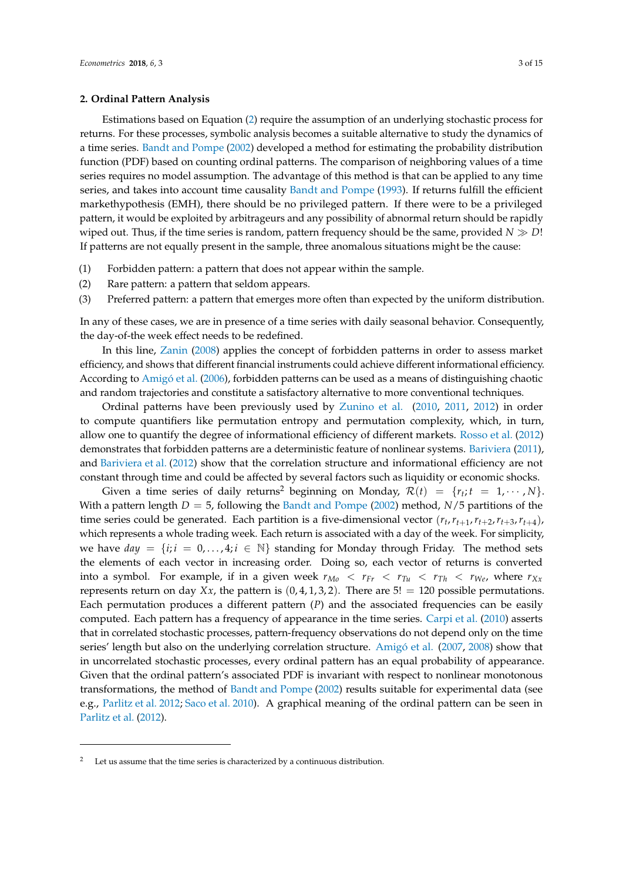## <span id="page-2-0"></span>**2. Ordinal Pattern Analysis**

Estimations based on Equation [\(2\)](#page-1-0) require the assumption of an underlying stochastic process for returns. For these processes, symbolic analysis becomes a suitable alternative to study the dynamics of a time series. [Bandt and Pompe](#page-13-11) [\(2002\)](#page-13-11) developed a method for estimating the probability distribution function (PDF) based on counting ordinal patterns. The comparison of neighboring values of a time series requires no model assumption. The advantage of this method is that can be applied to any time series, and takes into account time causality [Bandt and Pompe](#page-13-12) [\(1993\)](#page-13-12). If returns fulfill the efficient markethypothesis (EMH), there should be no privileged pattern. If there were to be a privileged pattern, it would be exploited by arbitrageurs and any possibility of abnormal return should be rapidly wiped out. Thus, if the time series is random, pattern frequency should be the same, provided  $N \gg D!$ If patterns are not equally present in the sample, three anomalous situations might be the cause:

- (1) Forbidden pattern: a pattern that does not appear within the sample.
- (2) Rare pattern: a pattern that seldom appears.
- (3) Preferred pattern: a pattern that emerges more often than expected by the uniform distribution.

In any of these cases, we are in presence of a time series with daily seasonal behavior. Consequently, the day-of-the week effect needs to be redefined.

In this line, [Zanin](#page-14-8) [\(2008\)](#page-14-8) applies the concept of forbidden patterns in order to assess market efficiency, and shows that different financial instruments could achieve different informational efficiency. According to [Amigó et al.](#page-13-13) [\(2006\)](#page-13-13), forbidden patterns can be used as a means of distinguishing chaotic and random trajectories and constitute a satisfactory alternative to more conventional techniques.

Ordinal patterns have been previously used by [Zunino et al.](#page-14-9) [\(2010,](#page-14-9) [2011,](#page-14-10) [2012\)](#page-14-11) in order to compute quantifiers like permutation entropy and permutation complexity, which, in turn, allow one to quantify the degree of informational efficiency of different markets. [Rosso et al.](#page-14-12) [\(2012\)](#page-14-12) demonstrates that forbidden patterns are a deterministic feature of nonlinear systems. [Bariviera](#page-13-14) [\(2011\)](#page-13-14), and [Bariviera et al.](#page-13-15) [\(2012\)](#page-13-15) show that the correlation structure and informational efficiency are not constant through time and could be affected by several factors such as liquidity or economic shocks.

Given a time series of daily returns<sup>2</sup> beginning on Monday,  $\mathcal{R}(t) = \{r_t; t = 1, \cdots, N\}$ . With a pattern length  $D = 5$ , following the [Bandt and Pompe](#page-13-11) [\(2002\)](#page-13-11) method,  $N/5$  partitions of the time series could be generated. Each partition is a five-dimensional vector  $(r_t, r_{t+1}, r_{t+2}, r_{t+3}, r_{t+4})$ , which represents a whole trading week. Each return is associated with a day of the week. For simplicity, we have  $day = \{i; i = 0, \ldots, 4; i \in \mathbb{N}\}\$  standing for Monday through Friday. The method sets the elements of each vector in increasing order. Doing so, each vector of returns is converted into a symbol. For example, if in a given week  $r_{M_0} < r_{F_r} < r_{T_u} < r_{T_h} < r_{We}$ , where  $r_{Xx}$ represents return on day *Xx*, the pattern is  $(0, 4, 1, 3, 2)$ . There are  $5! = 120$  possible permutations. Each permutation produces a different pattern (*P*) and the associated frequencies can be easily computed. Each pattern has a frequency of appearance in the time series. [Carpi et al.](#page-13-16) [\(2010\)](#page-13-16) asserts that in correlated stochastic processes, pattern-frequency observations do not depend only on the time series' length but also on the underlying correlation structure. [Amigó et al.](#page-13-17) [\(2007,](#page-13-17) [2008\)](#page-13-18) show that in uncorrelated stochastic processes, every ordinal pattern has an equal probability of appearance. Given that the ordinal pattern's associated PDF is invariant with respect to nonlinear monotonous transformations, the method of [Bandt and Pompe](#page-13-11) [\(2002\)](#page-13-11) results suitable for experimental data (see e.g., [Parlitz et al.](#page-14-13) [2012;](#page-14-13) [Saco et al.](#page-14-14) [2010\)](#page-14-14). A graphical meaning of the ordinal pattern can be seen in [Parlitz et al.](#page-14-13) [\(2012\)](#page-14-13).

Let us assume that the time series is characterized by a continuous distribution.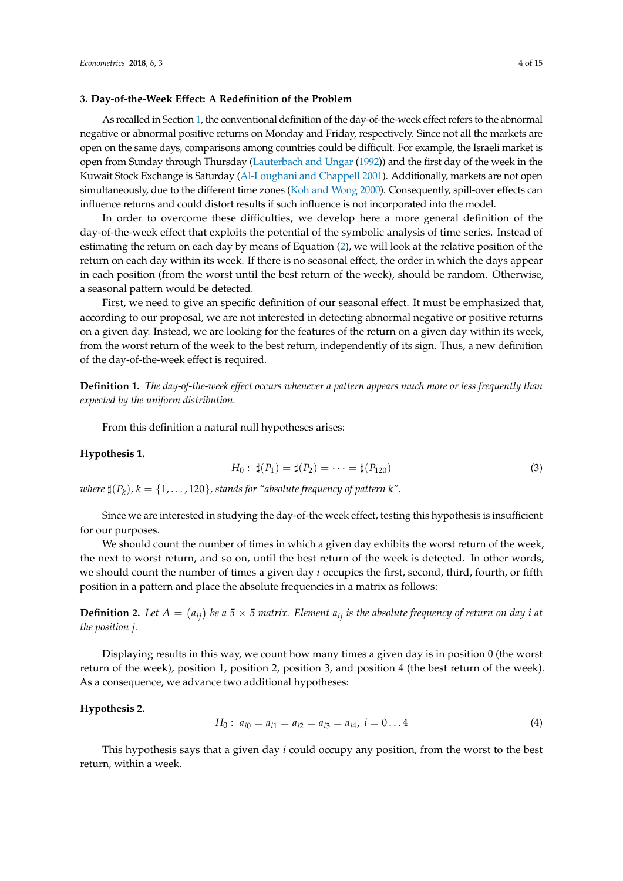#### <span id="page-3-0"></span>**3. Day-of-the-Week Effect: A Redefinition of the Problem**

As recalled in Section [1,](#page-0-1) the conventional definition of the day-of-the-week effect refers to the abnormal negative or abnormal positive returns on Monday and Friday, respectively. Since not all the markets are open on the same days, comparisons among countries could be difficult. For example, the Israeli market is open from Sunday through Thursday [\(Lauterbach and Ungar](#page-14-15) [\(1992\)](#page-14-15)) and the first day of the week in the Kuwait Stock Exchange is Saturday [\(Al-Loughani and Chappell](#page-13-19) [2001\)](#page-13-19). Additionally, markets are not open simultaneously, due to the different time zones [\(Koh and Wong](#page-14-16) [2000\)](#page-14-16). Consequently, spill-over effects can influence returns and could distort results if such influence is not incorporated into the model.

In order to overcome these difficulties, we develop here a more general definition of the day-of-the-week effect that exploits the potential of the symbolic analysis of time series. Instead of estimating the return on each day by means of Equation [\(2\)](#page-1-0), we will look at the relative position of the return on each day within its week. If there is no seasonal effect, the order in which the days appear in each position (from the worst until the best return of the week), should be random. Otherwise, a seasonal pattern would be detected.

First, we need to give an specific definition of our seasonal effect. It must be emphasized that, according to our proposal, we are not interested in detecting abnormal negative or positive returns on a given day. Instead, we are looking for the features of the return on a given day within its week, from the worst return of the week to the best return, independently of its sign. Thus, a new definition of the day-of-the-week effect is required.

<span id="page-3-3"></span>**Definition 1.** *The day-of-the-week effect occurs whenever a pattern appears much more or less frequently than expected by the uniform distribution.*

From this definition a natural null hypotheses arises:

## <span id="page-3-1"></span>**Hypothesis 1.**

$$
H_0: \ \sharp(P_1) = \sharp(P_2) = \cdots = \sharp(P_{120}) \tag{3}
$$

 $\mathit{where} \ \sharp(P_k)$ ,  $k = \{1, \dots, 120\}$ , stands for "absolute frequency of pattern  $k$ ".

Since we are interested in studying the day-of-the week effect, testing this hypothesis is insufficient for our purposes.

We should count the number of times in which a given day exhibits the worst return of the week, the next to worst return, and so on, until the best return of the week is detected. In other words, we should count the number of times a given day *i* occupies the first, second, third, fourth, or fifth position in a pattern and place the absolute frequencies in a matrix as follows:

<span id="page-3-4"></span>**Definition 2.** Let  $A = (a_{ij})$  be a 5  $\times$  5 matrix. Element  $a_{ij}$  is the absolute frequency of return on day *i* at *the position j.*

Displaying results in this way, we count how many times a given day is in position 0 (the worst return of the week), position 1, position 2, position 3, and position 4 (the best return of the week). As a consequence, we advance two additional hypotheses:

#### <span id="page-3-2"></span>**Hypothesis 2.**

$$
H_0: a_{i0} = a_{i1} = a_{i2} = a_{i3} = a_{i4}, i = 0...4
$$
 (4)

This hypothesis says that a given day *i* could occupy any position, from the worst to the best return, within a week.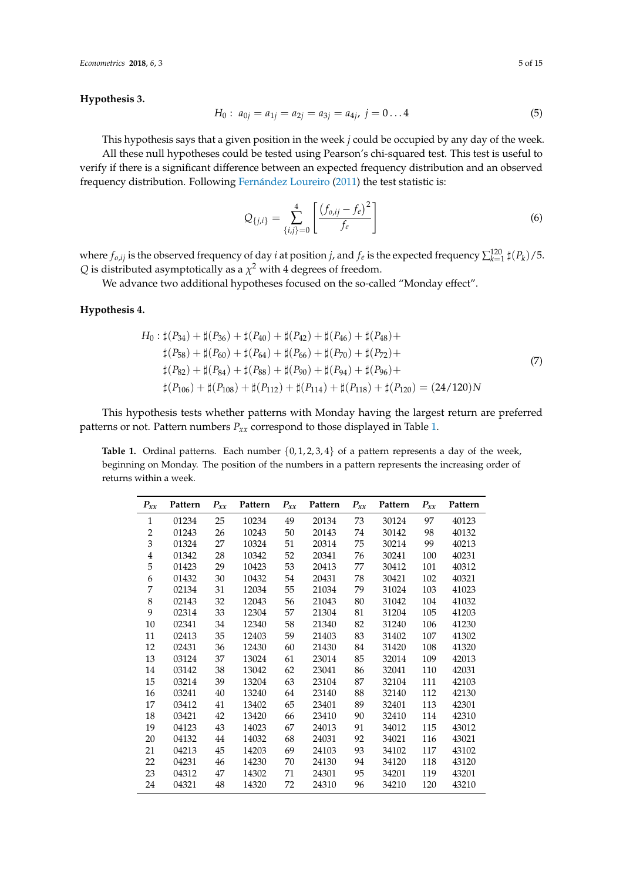<span id="page-4-1"></span>**Hypothesis 3.**

$$
H_0: a_{0j} = a_{1j} = a_{2j} = a_{3j} = a_{4j}, j = 0...4
$$
 (5)

This hypothesis says that a given position in the week *j* could be occupied by any day of the week. All these null hypotheses could be tested using Pearson's chi-squared test. This test is useful to verify if there is a significant difference between an expected frequency distribution and an observed frequency distribution. Following [Fernández Loureiro](#page-13-20) [\(2011\)](#page-13-20) the test statistic is:

<span id="page-4-3"></span>
$$
Q_{\{j,i\}} = \sum_{\{i,j\}=0}^{4} \left[ \frac{\left(f_{o,ij} - f_e\right)^2}{f_e} \right] \tag{6}
$$

where  $f_{o,ij}$  is the observed frequency of day *i* at position *j*, and  $f_e$  is the expected frequency  $\sum_{k=1}^{120} \sharp(P_k)/5$ .  $Q$  is distributed asymptotically as a  $\chi^2$  with 4 degrees of freedom.

We advance two additional hypotheses focused on the so-called "Monday effect".

## <span id="page-4-2"></span>**Hypothesis 4.**

$$
H_0: \sharp(P_{34}) + \sharp(P_{36}) + \sharp(P_{40}) + \sharp(P_{42}) + \sharp(P_{46}) + \sharp(P_{48}) + \n\sharp(P_{58}) + \sharp(P_{60}) + \sharp(P_{64}) + \sharp(P_{66}) + \sharp(P_{70}) + \sharp(P_{72}) + \n\sharp(P_{82}) + \sharp(P_{84}) + \sharp(P_{88}) + \sharp(P_{90}) + \sharp(P_{94}) + \sharp(P_{96}) + \n\sharp(P_{106}) + \sharp(P_{108}) + \sharp(P_{112}) + \sharp(P_{114}) + \sharp(P_{118}) + \sharp(P_{120}) = (24/120)N
$$
\n(7)

This hypothesis tests whether patterns with Monday having the largest return are preferred patterns or not. Pattern numbers *Pxx* correspond to those displayed in Table [1.](#page-4-0)

<span id="page-4-0"></span>**Table 1.** Ordinal patterns. Each number  $\{0, 1, 2, 3, 4\}$  of a pattern represents a day of the week, beginning on Monday. The position of the numbers in a pattern represents the increasing order of returns within a week.

| $P_{xx}$     | Pattern | $P_{xx}$ | Pattern | $P_{xx}$ | Pattern | $P_{xx}$ | Pattern | $P_{xx}$ | Pattern |
|--------------|---------|----------|---------|----------|---------|----------|---------|----------|---------|
| $\mathbf{1}$ | 01234   | 25       | 10234   | 49       | 20134   | 73       | 30124   | 97       | 40123   |
| 2            | 01243   | 26       | 10243   | 50       | 20143   | 74       | 30142   | 98       | 40132   |
| 3            | 01324   | 27       | 10324   | 51       | 20314   | 75       | 30214   | 99       | 40213   |
| 4            | 01342   | 28       | 10342   | 52       | 20341   | 76       | 30241   | 100      | 40231   |
| 5            | 01423   | 29       | 10423   | 53       | 20413   | 77       | 30412   | 101      | 40312   |
| 6            | 01432   | 30       | 10432   | 54       | 20431   | 78       | 30421   | 102      | 40321   |
| 7            | 02134   | 31       | 12034   | 55       | 21034   | 79       | 31024   | 103      | 41023   |
| 8            | 02143   | 32       | 12043   | 56       | 21043   | 80       | 31042   | 104      | 41032   |
| 9            | 02314   | 33       | 12304   | 57       | 21304   | 81       | 31204   | 105      | 41203   |
| 10           | 02341   | 34       | 12340   | 58       | 21340   | 82       | 31240   | 106      | 41230   |
| 11           | 02413   | 35       | 12403   | 59       | 21403   | 83       | 31402   | 107      | 41302   |
| 12           | 02431   | 36       | 12430   | 60       | 21430   | 84       | 31420   | 108      | 41320   |
| 13           | 03124   | 37       | 13024   | 61       | 23014   | 85       | 32014   | 109      | 42013   |
| 14           | 03142   | 38       | 13042   | 62       | 23041   | 86       | 32041   | 110      | 42031   |
| 15           | 03214   | 39       | 13204   | 63       | 23104   | 87       | 32104   | 111      | 42103   |
| 16           | 03241   | 40       | 13240   | 64       | 23140   | 88       | 32140   | 112      | 42130   |
| 17           | 03412   | 41       | 13402   | 65       | 23401   | 89       | 32401   | 113      | 42301   |
| 18           | 03421   | 42       | 13420   | 66       | 23410   | 90       | 32410   | 114      | 42310   |
| 19           | 04123   | 43       | 14023   | 67       | 24013   | 91       | 34012   | 115      | 43012   |
| 20           | 04132   | 44       | 14032   | 68       | 24031   | 92       | 34021   | 116      | 43021   |
| 21           | 04213   | 45       | 14203   | 69       | 24103   | 93       | 34102   | 117      | 43102   |
| 22           | 04231   | 46       | 14230   | 70       | 24130   | 94       | 34120   | 118      | 43120   |
| 23           | 04312   | 47       | 14302   | 71       | 24301   | 95       | 34201   | 119      | 43201   |
| 24           | 04321   | 48       | 14320   | 72       | 24310   | 96       | 34210   | 120      | 43210   |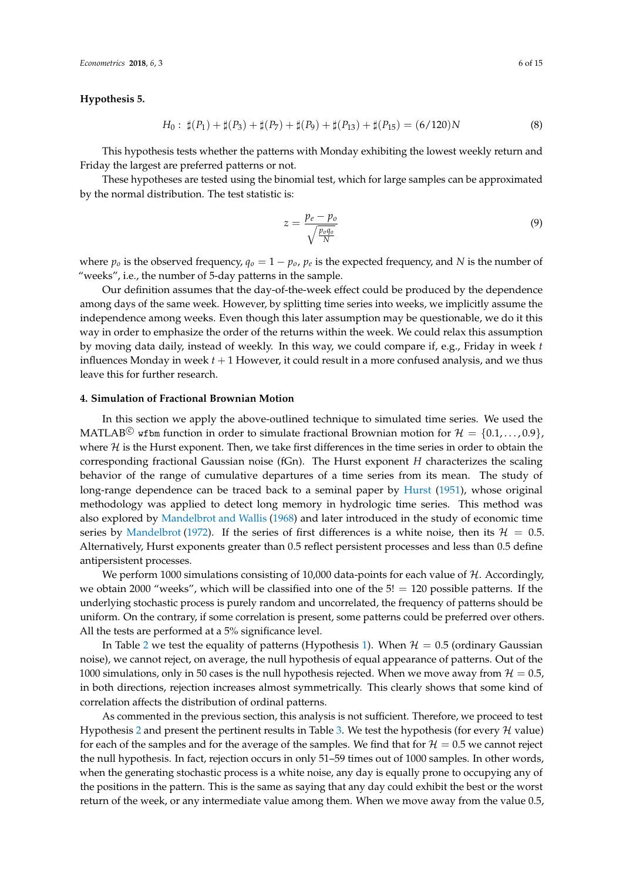*Econometrics* 2018, *6*, 3 6 of 15

## <span id="page-5-1"></span>**Hypothesis 5.**

$$
H_0: \ \sharp(P_1) + \sharp(P_3) + \sharp(P_7) + \sharp(P_9) + \sharp(P_{13}) + \sharp(P_{15}) = (6/120)N \tag{8}
$$

This hypothesis tests whether the patterns with Monday exhibiting the lowest weekly return and Friday the largest are preferred patterns or not.

These hypotheses are tested using the binomial test, which for large samples can be approximated by the normal distribution. The test statistic is:

$$
z = \frac{p_e - p_o}{\sqrt{\frac{p_o q_o}{N}}}
$$
\n<sup>(9)</sup>

where  $p_o$  is the observed frequency,  $q_o = 1 - p_o$ ,  $p_e$  is the expected frequency, and N is the number of "weeks", i.e., the number of 5-day patterns in the sample.

Our definition assumes that the day-of-the-week effect could be produced by the dependence among days of the same week. However, by splitting time series into weeks, we implicitly assume the independence among weeks. Even though this later assumption may be questionable, we do it this way in order to emphasize the order of the returns within the week. We could relax this assumption by moving data daily, instead of weekly. In this way, we could compare if, e.g., Friday in week *t* influences Monday in week  $t + 1$  However, it could result in a more confused analysis, and we thus leave this for further research.

#### <span id="page-5-0"></span>**4. Simulation of Fractional Brownian Motion**

In this section we apply the above-outlined technique to simulated time series. We used the MATLAB<sup>C</sup> wfbm function in order to simulate fractional Brownian motion for  $\mathcal{H} = \{0.1, \ldots, 0.9\}$ , where  $H$  is the Hurst exponent. Then, we take first differences in the time series in order to obtain the corresponding fractional Gaussian noise (fGn). The Hurst exponent *H* characterizes the scaling behavior of the range of cumulative departures of a time series from its mean. The study of long-range dependence can be traced back to a seminal paper by [Hurst](#page-13-21) [\(1951\)](#page-13-21), whose original methodology was applied to detect long memory in hydrologic time series. This method was also explored by [Mandelbrot and Wallis](#page-14-17) [\(1968\)](#page-14-17) and later introduced in the study of economic time series by [Mandelbrot](#page-14-18) [\(1972\)](#page-14-18). If the series of first differences is a white noise, then its  $\mathcal{H} = 0.5$ . Alternatively, Hurst exponents greater than 0.5 reflect persistent processes and less than 0.5 define antipersistent processes.

We perform 1000 simulations consisting of 10,000 data-points for each value of  $H$ . Accordingly, we obtain 2000 "weeks", which will be classified into one of the  $5! = 120$  possible patterns. If the underlying stochastic process is purely random and uncorrelated, the frequency of patterns should be uniform. On the contrary, if some correlation is present, some patterns could be preferred over others. All the tests are performed at a 5% significance level.

In Table [2](#page-6-0) we test the equality of patterns (Hypothesis [1\)](#page-3-1). When  $H = 0.5$  (ordinary Gaussian noise), we cannot reject, on average, the null hypothesis of equal appearance of patterns. Out of the 1000 simulations, only in 50 cases is the null hypothesis rejected. When we move away from  $H = 0.5$ , in both directions, rejection increases almost symmetrically. This clearly shows that some kind of correlation affects the distribution of ordinal patterns.

As commented in the previous section, this analysis is not sufficient. Therefore, we proceed to test Hypothesis [2](#page-3-2) and present the pertinent results in Table [3.](#page-6-1) We test the hypothesis (for every  $\mathcal H$  value) for each of the samples and for the average of the samples. We find that for  $\mathcal{H} = 0.5$  we cannot reject the null hypothesis. In fact, rejection occurs in only 51–59 times out of 1000 samples. In other words, when the generating stochastic process is a white noise, any day is equally prone to occupying any of the positions in the pattern. This is the same as saying that any day could exhibit the best or the worst return of the week, or any intermediate value among them. When we move away from the value 0.5,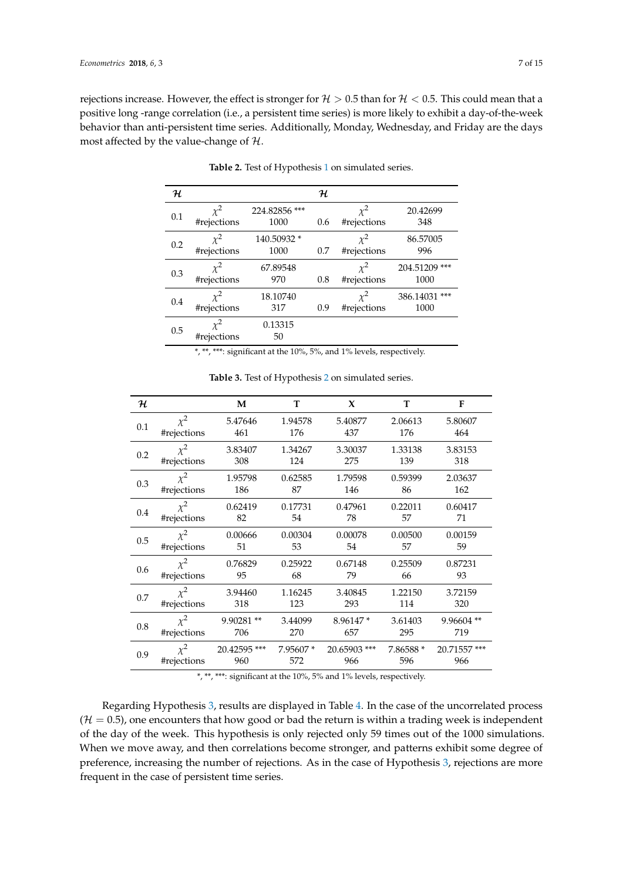<span id="page-6-0"></span>rejections increase. However, the effect is stronger for  $H > 0.5$  than for  $H < 0.5$ . This could mean that a positive long -range correlation (i.e., a persistent time series) is more likely to exhibit a day-of-the-week behavior than anti-persistent time series. Additionally, Monday, Wednesday, and Friday are the days most affected by the value-change of  $H$ .

| н   |                         |                       | ${\cal H}$ |                         |                       |
|-----|-------------------------|-----------------------|------------|-------------------------|-----------------------|
| 0.1 | $x^2$<br>#rejections    | 224.82856 ***<br>1000 | 0.6        | $\chi^2$<br>#rejections | 20.42699<br>348       |
| 0.2 | $\chi^2$<br>#rejections | 140.50932 *<br>1000   | 0.7        | $\chi^2$<br>#rejections | 86.57005<br>996       |
| 0.3 | $\chi^2$<br>#rejections | 67.89548<br>970       | 0.8        | $\chi^2$<br>#rejections | 204.51209 ***<br>1000 |
| 0.4 | $x^2$<br>#rejections    | 18.10740<br>317       | 0.9        | $\chi^2$<br>#rejections | 386.14031 ***<br>1000 |
| 0.5 | $\chi^2$<br>#rejections | 0.13315<br>50         |            |                         |                       |

Table 2. Test of Hypothesis [1](#page-3-1) on simulated series.

\*, \*\*, \*\*\*: significant at the 10%, 5%, and 1% levels, respectively.

<span id="page-6-1"></span>

| ${\cal H}$ |             | M            | т        | X            | T         | F            |
|------------|-------------|--------------|----------|--------------|-----------|--------------|
| 0.1        | $\chi^2$    | 5.47646      | 1.94578  | 5.40877      | 2.06613   | 5.80607      |
|            | #rejections | 461          | 176      | 437          | 176       | 464          |
| 0.2        | $\chi^2$    | 3.83407      | 1.34267  | 3.30037      | 1.33138   | 3.83153      |
|            | #rejections | 308          | 124      | 275          | 139       | 318          |
| 0.3        | $\chi^2$    | 1.95798      | 0.62585  | 1.79598      | 0.59399   | 2.03637      |
|            | #rejections | 186          | 87       | 146          | 86        | 162          |
| 0.4        | $\chi^2$    | 0.62419      | 0.17731  | 0.47961      | 0.22011   | 0.60417      |
|            | #rejections | 82           | 54       | 78           | 57        | 71           |
| 0.5        | $\chi^2$    | 0.00666      | 0.00304  | 0.00078      | 0.00500   | 0.00159      |
|            | #rejections | 51           | 53       | 54           | 57        | 59           |
| 0.6        | $\chi^2$    | 0.76829      | 0.25922  | 0.67148      | 0.25509   | 0.87231      |
|            | #rejections | 95           | 68       | 79           | 66        | 93           |
| 0.7        | $\chi^2$    | 3.94460      | 1.16245  | 3.40845      | 1.22150   | 3.72159      |
|            | #rejections | 318          | 123      | 293          | 114       | 320          |
| 0.8        | $\chi^2$    | 9.90281**    | 3.44099  | 8.96147*     | 3.61403   | 9.96604**    |
|            | #rejections | 706          | 270      | 657          | 295       | 719          |
| 0.9        | $\chi^2$    | 20.42595 *** | 7.95607* | 20.65903 *** | 7.86588 * | 20.71557 *** |
|            | #rejections | 960          | 572      | 966          | 596       | 966          |

**Table 3.** Test of Hypothesis [2](#page-3-2) on simulated series.

\*, \*\*, \*\*\*: significant at the 10%, 5% and 1% levels, respectively.

Regarding Hypothesis [3,](#page-4-1) results are displayed in Table [4.](#page-7-0) In the case of the uncorrelated process  $(H = 0.5)$ , one encounters that how good or bad the return is within a trading week is independent of the day of the week. This hypothesis is only rejected only 59 times out of the 1000 simulations. When we move away, and then correlations become stronger, and patterns exhibit some degree of preference, increasing the number of rejections. As in the case of Hypothesis [3,](#page-6-1) rejections are more frequent in the case of persistent time series.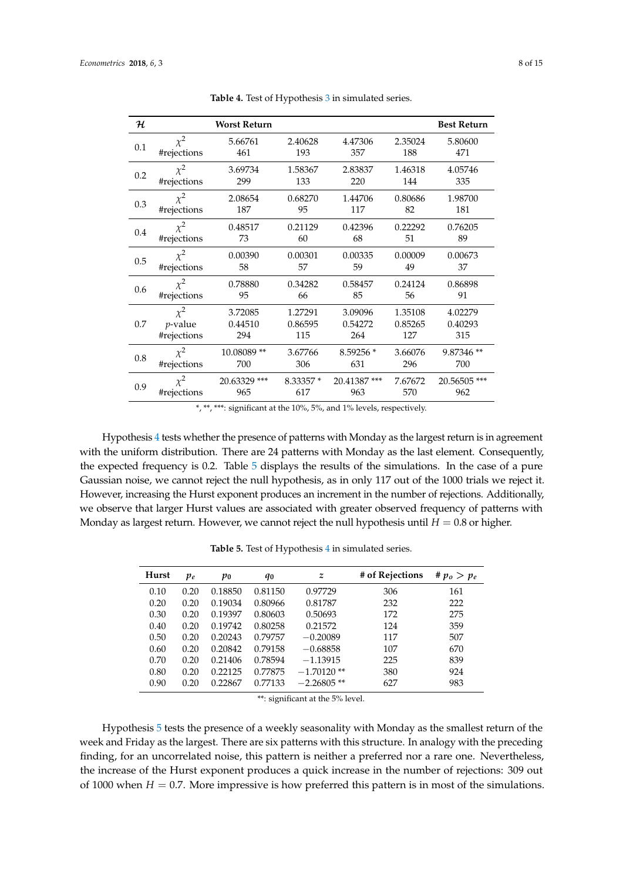<span id="page-7-0"></span>

| ${\cal H}$ |             | <b>Worst Return</b> |           |             |         | <b>Best Return</b> |
|------------|-------------|---------------------|-----------|-------------|---------|--------------------|
| 0.1        | $\chi^2$    | 5.66761             | 2.40628   | 4.47306     | 2.35024 | 5.80600            |
|            | #rejections | 461                 | 193       | 357         | 188     | 471                |
| 0.2        | $\chi^2$    | 3.69734             | 1.58367   | 2.83837     | 1.46318 | 4.05746            |
|            | #rejections | 299                 | 133       | 220         | 144     | 335                |
| 0.3        | $\chi^2$    | 2.08654             | 0.68270   | 1.44706     | 0.80686 | 1.98700            |
|            | #rejections | 187                 | 95        | 117         | 82      | 181                |
| 0.4        | $\chi^2$    | 0.48517             | 0.21129   | 0.42396     | 0.22292 | 0.76205            |
|            | #rejections | 73                  | 60        | 68          | 51      | 89                 |
| 0.5        | $\chi^2$    | 0.00390             | 0.00301   | 0.00335     | 0.00009 | 0.00673            |
|            | #rejections | 58                  | 57        | 59          | 49      | 37                 |
| 0.6        | $\chi^2$    | 0.78880             | 0.34282   | 0.58457     | 0.24124 | 0.86898            |
|            | #rejections | 95                  | 66        | 85          | 56      | 91                 |
| 0.7        | $\chi^2$    | 3.72085             | 1.27291   | 3.09096     | 1.35108 | 4.02279            |
|            | $p$ -value  | 0.44510             | 0.86595   | 0.54272     | 0.85265 | 0.40293            |
|            | #rejections | 294                 | 115       | 264         | 127     | 315                |
| 0.8        | $\chi^2$    | 10.08089**          | 3.67766   | 8.59256 *   | 3.66076 | 9.87346 **         |
|            | #rejections | 700                 | 306       | 631         | 296     | 700                |
| 0.9        | $\chi^2$    | 20.63329 ***        | 8.33357 * | 20.41387*** | 7.67672 | 20.56505 ***       |
|            | #rejections | 965                 | 617       | 963         | 570     | 962                |

Table 4. Test of Hypothesis [3](#page-4-1) in simulated series.

\*, \*\*, \*\*\*: significant at the 10%, 5%, and 1% levels, respectively.

Hypothesis [4](#page-4-2) tests whether the presence of patterns with Monday as the largest return is in agreement with the uniform distribution. There are 24 patterns with Monday as the last element. Consequently, the expected frequency is 0.2. Table [5](#page-7-1) displays the results of the simulations. In the case of a pure Gaussian noise, we cannot reject the null hypothesis, as in only 117 out of the 1000 trials we reject it. However, increasing the Hurst exponent produces an increment in the number of rejections. Additionally, we observe that larger Hurst values are associated with greater observed frequency of patterns with Monday as largest return. However, we cannot reject the null hypothesis until  $H = 0.8$  or higher.

<span id="page-7-1"></span>

| Hurst | $p_e$ | po      | q0      | z             | # of Rejections | # $p_o > p_e$ |
|-------|-------|---------|---------|---------------|-----------------|---------------|
| 0.10  | 0.20  | 0.18850 | 0.81150 | 0.97729       | 306             | 161           |
| 0.20  | 0.20  | 0.19034 | 0.80966 | 0.81787       | 232             | 222           |
| 0.30  | 0.20  | 0.19397 | 0.80603 | 0.50693       | 172             | 275           |
| 0.40  | 0.20  | 0.19742 | 0.80258 | 0.21572       | 124             | 359           |
| 0.50  | 0.20  | 0.20243 | 0.79757 | $-0.20089$    | 117             | 507           |
| 0.60  | 0.20  | 0.20842 | 0.79158 | $-0.68858$    | 107             | 670           |
| 0.70  | 0.20  | 0.21406 | 0.78594 | $-1.13915$    | 225             | 839           |
| 0.80  | 0.20  | 0.22125 | 0.77875 | $-1.70120**$  | 380             | 924           |
| 0.90  | 0.20  | 0.22867 | 0.77133 | $-2.26805$ ** | 627             | 983           |

Table 5. Test of Hypothesis [4](#page-4-2) in simulated series.

\*\*: significant at the 5% level.

Hypothesis [5](#page-5-1) tests the presence of a weekly seasonality with Monday as the smallest return of the week and Friday as the largest. There are six patterns with this structure. In analogy with the preceding finding, for an uncorrelated noise, this pattern is neither a preferred nor a rare one. Nevertheless, the increase of the Hurst exponent produces a quick increase in the number of rejections: 309 out of 1000 when  $H = 0.7$ . More impressive is how preferred this pattern is in most of the simulations.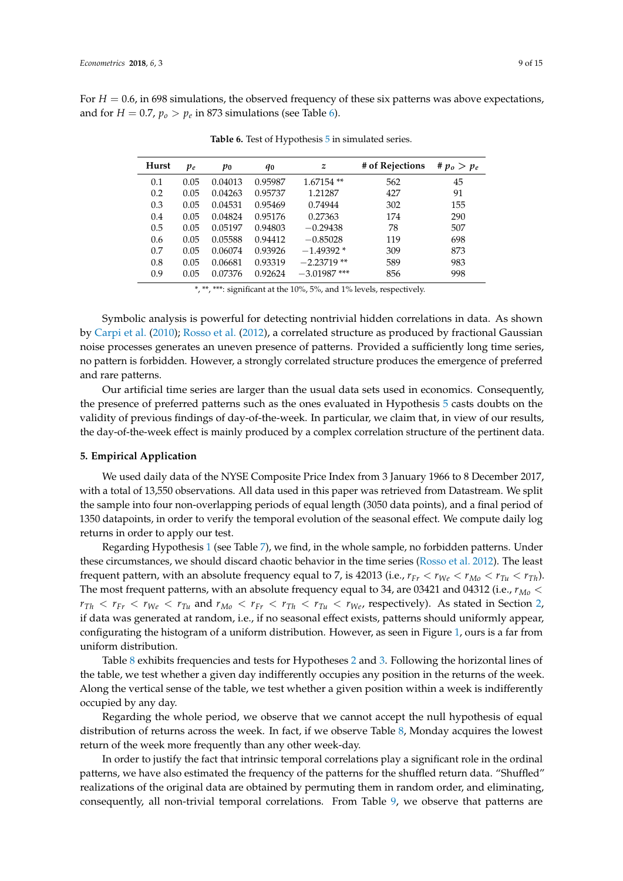<span id="page-8-1"></span>For  $H = 0.6$ , in 698 simulations, the observed frequency of these six patterns was above expectations, and for  $H = 0.7$ ,  $p_o > p_e$  in 873 simulations (see Table [6\)](#page-8-1).

| Hurst | $p_e$ | $p_{0}$ | q0      | z              | # of Rejections | # $p_o > p_e$ |
|-------|-------|---------|---------|----------------|-----------------|---------------|
| 0.1   | 0.05  | 0.04013 | 0.95987 | $1.67154**$    | 562             | 45            |
| 0.2   | 0.05  | 0.04263 | 0.95737 | 1.21287        | 427             | 91            |
| 0.3   | 0.05  | 0.04531 | 0.95469 | 0.74944        | 302             | 155           |
| 0.4   | 0.05  | 0.04824 | 0.95176 | 0.27363        | 174             | 290           |
| 0.5   | 0.05  | 0.05197 | 0.94803 | $-0.29438$     | 78              | 507           |
| 0.6   | 0.05  | 0.05588 | 0.94412 | $-0.85028$     | 119             | 698           |
| 0.7   | 0.05  | 0.06074 | 0.93926 | $-1.49392*$    | 309             | 873           |
| 0.8   | 0.05  | 0.06681 | 0.93319 | $-2.23719$ **  | 589             | 983           |
| 0.9   | 0.05  | 0.07376 | 0.92624 | $-3.01987$ *** | 856             | 998           |

Table 6. Test of Hypothesis [5](#page-5-1) in simulated series.

\*, \*\*, \*\*\*: significant at the 10%, 5%, and 1% levels, respectively.

Symbolic analysis is powerful for detecting nontrivial hidden correlations in data. As shown by [Carpi et al.](#page-13-16) [\(2010\)](#page-13-16); [Rosso et al.](#page-14-12) [\(2012\)](#page-14-12), a correlated structure as produced by fractional Gaussian noise processes generates an uneven presence of patterns. Provided a sufficiently long time series, no pattern is forbidden. However, a strongly correlated structure produces the emergence of preferred and rare patterns.

Our artificial time series are larger than the usual data sets used in economics. Consequently, the presence of preferred patterns such as the ones evaluated in Hypothesis [5](#page-5-1) casts doubts on the validity of previous findings of day-of-the-week. In particular, we claim that, in view of our results, the day-of-the-week effect is mainly produced by a complex correlation structure of the pertinent data.

#### <span id="page-8-0"></span>**5. Empirical Application**

We used daily data of the NYSE Composite Price Index from 3 January 1966 to 8 December 2017, with a total of 13,550 observations. All data used in this paper was retrieved from Datastream. We split the sample into four non-overlapping periods of equal length (3050 data points), and a final period of 1350 datapoints, in order to verify the temporal evolution of the seasonal effect. We compute daily log returns in order to apply our test.

Regarding Hypothesis [1](#page-3-1) (see Table [7\)](#page-9-0), we find, in the whole sample, no forbidden patterns. Under these circumstances, we should discard chaotic behavior in the time series [\(Rosso et al.](#page-14-12) [2012\)](#page-14-12). The least frequent pattern, with an absolute frequency equal to 7, is 42013 (i.e.,  $r_{Fr} < r_{We} < r_{Mo} < r_{Tu} < r_{Th}$ ). The most frequent patterns, with an absolute frequency equal to 34, are 03421 and 04312 (i.e., *rMo* <  $r_{Th} < r_{Fr} < r_{We} < r_{Tu}$  and  $r_{Mo} < r_{Fr} < r_{Th} < r_{Yu} < r_{We}$ , respectively). As stated in Section [2,](#page-2-0) if data was generated at random, i.e., if no seasonal effect exists, patterns should uniformly appear, configurating the histogram of a uniform distribution. However, as seen in Figure [1,](#page-10-0) ours is a far from uniform distribution.

Table [8](#page-9-1) exhibits frequencies and tests for Hypotheses [2](#page-3-2) and [3.](#page-4-1) Following the horizontal lines of the table, we test whether a given day indifferently occupies any position in the returns of the week. Along the vertical sense of the table, we test whether a given position within a week is indifferently occupied by any day.

Regarding the whole period, we observe that we cannot accept the null hypothesis of equal distribution of returns across the week. In fact, if we observe Table [8,](#page-9-1) Monday acquires the lowest return of the week more frequently than any other week-day.

In order to justify the fact that intrinsic temporal correlations play a significant role in the ordinal patterns, we have also estimated the frequency of the patterns for the shuffled return data. "Shuffled" realizations of the original data are obtained by permuting them in random order, and eliminating, consequently, all non-trivial temporal correlations. From Table [9,](#page-10-1) we observe that patterns are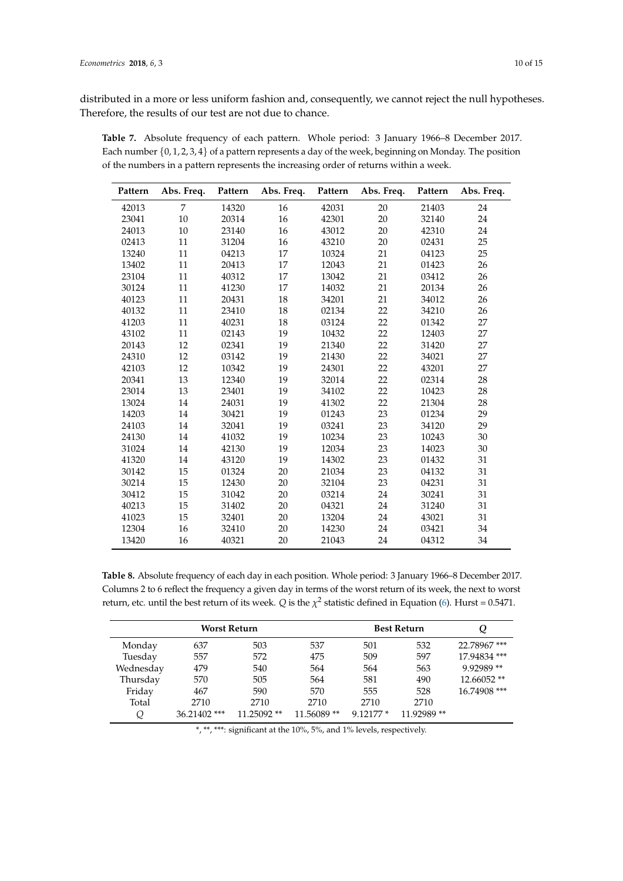distributed in a more or less uniform fashion and, consequently, we cannot reject the null hypotheses. Therefore, the results of our test are not due to chance.

<span id="page-9-0"></span>

| Table 7. Absolute frequency of each pattern. Whole period: 3 January 1966–8 December 2017.                   |  |  |  |
|--------------------------------------------------------------------------------------------------------------|--|--|--|
| Each number $\{0, 1, 2, 3, 4\}$ of a pattern represents a day of the week, beginning on Monday. The position |  |  |  |
| of the numbers in a pattern represents the increasing order of returns within a week.                        |  |  |  |

| Pattern | Abs. Freq.     | Pattern | Abs. Freq. | Pattern | Abs. Freq. | Pattern | Abs. Freq. |
|---------|----------------|---------|------------|---------|------------|---------|------------|
| 42013   | $\overline{7}$ | 14320   | 16         | 42031   | 20         | 21403   | 24         |
| 23041   | 10             | 20314   | 16         | 42301   | 20         | 32140   | 24         |
| 24013   | 10             | 23140   | 16         | 43012   | 20         | 42310   | 24         |
| 02413   | 11             | 31204   | 16         | 43210   | 20         | 02431   | 25         |
| 13240   | 11             | 04213   | 17         | 10324   | 21         | 04123   | 25         |
| 13402   | 11             | 20413   | 17         | 12043   | 21         | 01423   | 26         |
| 23104   | 11             | 40312   | 17         | 13042   | 21         | 03412   | 26         |
| 30124   | 11             | 41230   | 17         | 14032   | 21         | 20134   | 26         |
| 40123   | 11             | 20431   | 18         | 34201   | 21         | 34012   | 26         |
| 40132   | 11             | 23410   | 18         | 02134   | 22         | 34210   | 26         |
| 41203   | 11             | 40231   | 18         | 03124   | 22         | 01342   | 27         |
| 43102   | 11             | 02143   | 19         | 10432   | 22         | 12403   | 27         |
| 20143   | 12             | 02341   | 19         | 21340   | 22         | 31420   | 27         |
| 24310   | 12             | 03142   | 19         | 21430   | 22         | 34021   | 27         |
| 42103   | 12             | 10342   | 19         | 24301   | 22         | 43201   | 27         |
| 20341   | 13             | 12340   | 19         | 32014   | 22         | 02314   | 28         |
| 23014   | 13             | 23401   | 19         | 34102   | 22         | 10423   | 28         |
| 13024   | 14             | 24031   | 19         | 41302   | 22         | 21304   | 28         |
| 14203   | 14             | 30421   | 19         | 01243   | 23         | 01234   | 29         |
| 24103   | 14             | 32041   | 19         | 03241   | 23         | 34120   | 29         |
| 24130   | 14             | 41032   | 19         | 10234   | 23         | 10243   | 30         |
| 31024   | 14             | 42130   | 19         | 12034   | 23         | 14023   | 30         |
| 41320   | 14             | 43120   | 19         | 14302   | 23         | 01432   | 31         |
| 30142   | 15             | 01324   | 20         | 21034   | 23         | 04132   | 31         |
| 30214   | 15             | 12430   | 20         | 32104   | 23         | 04231   | 31         |
| 30412   | 15             | 31042   | 20         | 03214   | 24         | 30241   | 31         |
| 40213   | 15             | 31402   | 20         | 04321   | 24         | 31240   | 31         |
| 41023   | 15             | 32401   | 20         | 13204   | 24         | 43021   | 31         |
| 12304   | 16             | 32410   | 20         | 14230   | 24         | 03421   | 34         |
| 13420   | 16             | 40321   | 20         | 21043   | 24         | 04312   | 34         |

<span id="page-9-1"></span>**Table 8.** Absolute frequency of each day in each position. Whole period: 3 January 1966–8 December 2017. Columns 2 to 6 reflect the frequency a given day in terms of the worst return of its week, the next to worst return, etc. until the best return of its week. *Q* is the  $\chi^2$  statistic defined in Equation [\(6\)](#page-4-3). Hurst = 0.5471.

|           | <b>Worst Return</b> |             |            |            | <b>Best Return</b> |              |
|-----------|---------------------|-------------|------------|------------|--------------------|--------------|
| Monday    | 637                 | 503         | 537        | 501        | 532                | 22.78967***  |
| Tuesday   | 557                 | 572         | 475        | 509        | 597                | 17.94834 *** |
| Wednesday | 479                 | 540         | 564        | 564        | 563                | 9.92989 **   |
| Thursday  | 570                 | 505         | 564        | 581        | 490                | 12.66052 **  |
| Friday    | 467                 | 590         | 570        | 555        | 528                | 16.74908 *** |
| Total     | 2710                | 2710        | 2710       | 2710       | 2710               |              |
| Q         | 36.21402***         | 11.25092 ** | 11.56089** | $9.12177*$ | 11.92989**         |              |

\*, \*\*, \*\*\*: significant at the 10%, 5%, and 1% levels, respectively.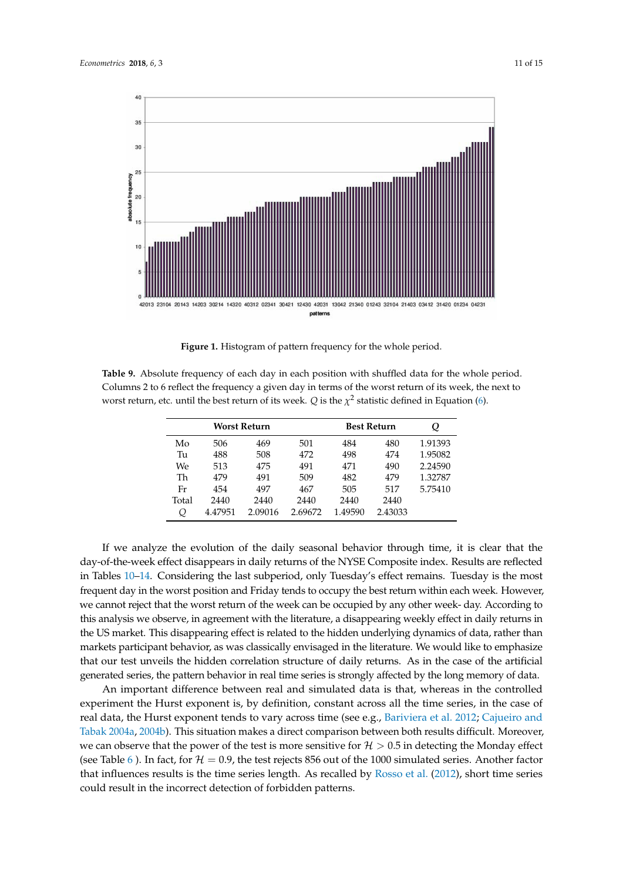<span id="page-10-0"></span>

**Figure 1.** Histogram of pattern frequency for the whole period.

<span id="page-10-1"></span>**Table 9.** Absolute frequency of each day in each position with shuffled data for the whole period. Columns 2 to 6 reflect the frequency a given day in terms of the worst return of its week, the next to worst return, etc. until the best return of its week.  $Q$  is the  $\chi^2$  statistic defined in Equation [\(6\)](#page-4-3).

|       |         | Worst Return |         | <b>Best Return</b> |         | Q       |
|-------|---------|--------------|---------|--------------------|---------|---------|
| Mo    | 506     | 469          | 501     | 484                | 480     | 1.91393 |
| Tu    | 488     | 508          | 472     | 498                | 474     | 1.95082 |
| We.   | 513     | 475          | 491     | 471                | 490     | 2.24590 |
| Th    | 479     | 491          | 509     | 482                | 479     | 1.32787 |
| Fr    | 454     | 497          | 467     | 505                | 517     | 5.75410 |
| Total | 2440    | 2440         | 2440    | 2440               | 2440    |         |
| Q     | 4.47951 | 2.09016      | 2.69672 | 1.49590            | 2.43033 |         |

If we analyze the evolution of the daily seasonal behavior through time, it is clear that the day-of-the-week effect disappears in daily returns of the NYSE Composite index. Results are reflected in Tables [10–](#page-11-0)[14.](#page-12-1) Considering the last subperiod, only Tuesday's effect remains. Tuesday is the most frequent day in the worst position and Friday tends to occupy the best return within each week. However, we cannot reject that the worst return of the week can be occupied by any other week- day. According to this analysis we observe, in agreement with the literature, a disappearing weekly effect in daily returns in the US market. This disappearing effect is related to the hidden underlying dynamics of data, rather than markets participant behavior, as was classically envisaged in the literature. We would like to emphasize that our test unveils the hidden correlation structure of daily returns. As in the case of the artificial generated series, the pattern behavior in real time series is strongly affected by the long memory of data.

An important difference between real and simulated data is that, whereas in the controlled experiment the Hurst exponent is, by definition, constant across all the time series, in the case of real data, the Hurst exponent tends to vary across time (see e.g., [Bariviera et al.](#page-13-15) [2012;](#page-13-15) [Cajueiro and](#page-13-22) [Tabak](#page-13-22) [2004a,](#page-13-22) [2004b\)](#page-13-23). This situation makes a direct comparison between both results difficult. Moreover, we can observe that the power of the test is more sensitive for  $H > 0.5$  in detecting the Monday effect (see Table [6](#page-8-1)). In fact, for  $\mathcal{H} = 0.9$ , the test rejects 856 out of the 1000 simulated series. Another factor that influences results is the time series length. As recalled by [Rosso et al.](#page-14-12) [\(2012\)](#page-14-12), short time series could result in the incorrect detection of forbidden patterns.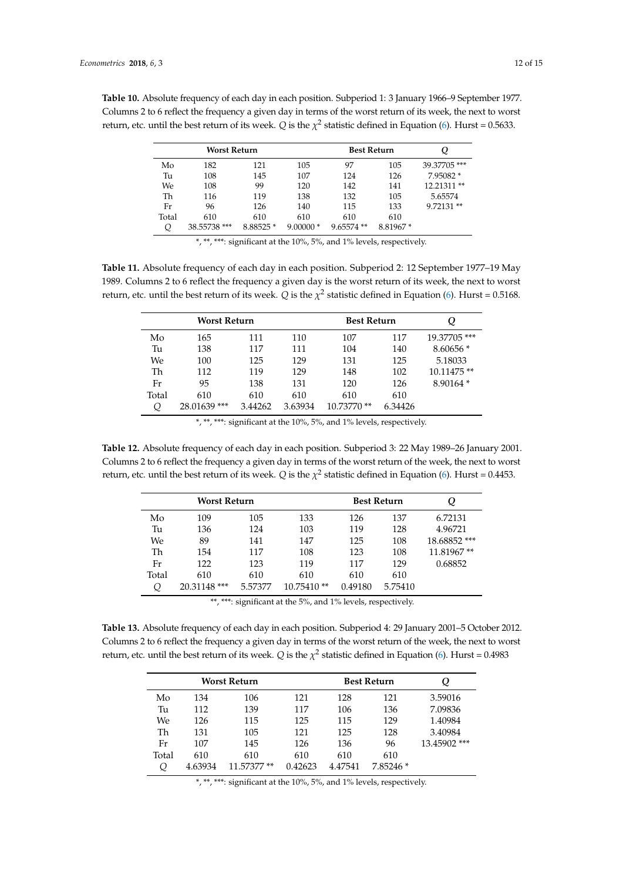|       | Worst Return |          | <b>Best Return</b> |              |          |             |
|-------|--------------|----------|--------------------|--------------|----------|-------------|
| Mo    | 182          | 121      | 105                | 97           | 105      | 39.37705*** |
| Tu    | 108          | 145      | 107                | 124          | 126      | 7.95082 *   |
| We    | 108          | 99       | 120                | 142          | 141      | 12.21311**  |
| Th    | 116          | 119      | 138                | 132          | 105      | 5.65574     |
| Fr    | 96           | 126      | 140                | 115          | 133      | $9.72131**$ |
| Total | 610          | 610      | 610                | 610          | 610      |             |
| Q     | 38.55738 *** | 8.88525* | $9.00000*$         | $9.65574$ ** | 8.81967* |             |

<span id="page-11-0"></span>**Table 10.** Absolute frequency of each day in each position. Subperiod 1: 3 January 1966–9 September 1977. Columns 2 to 6 reflect the frequency a given day in terms of the worst return of its week, the next to worst return, etc. until the best return of its week. *Q* is the  $\chi^2$  statistic defined in Equation [\(6\)](#page-4-3). Hurst = 0.5633.

\*, \*\*, \*\*\*: significant at the 10%, 5%, and 1% levels, respectively.

**Table 11.** Absolute frequency of each day in each position. Subperiod 2: 12 September 1977–19 May 1989. Columns 2 to 6 reflect the frequency a given day is the worst return of its week, the next to worst return, etc. until the best return of its week.  $Q$  is the  $\chi^2$  statistic defined in Equation [\(6\)](#page-4-3). Hurst = 0.5168.

|       | Worst Return |         |         | <b>Best Return</b> |         | Ų           |
|-------|--------------|---------|---------|--------------------|---------|-------------|
| Mo    | 165          | 111     | 110     | 107                | 117     | 19.37705*** |
| Tu    | 138          | 117     | 111     | 104                | 140     | $8.60656*$  |
| We    | 100          | 125     | 129     | 131                | 125     | 5.18033     |
| Th    | 112          | 119     | 129     | 148                | 102     | 10.11475**  |
| Fr    | 95           | 138     | 131     | 120                | 126     | $8.90164*$  |
| Total | 610          | 610     | 610     | 610                | 610     |             |
|       | 28.01639***  | 3.44262 | 3.63934 | 10.73770 **        | 6.34426 |             |

\*, \*\*, \*\*\*: significant at the 10%, 5%, and 1% levels, respectively.

**Table 12.** Absolute frequency of each day in each position. Subperiod 3: 22 May 1989–26 January 2001. Columns 2 to 6 reflect the frequency a given day in terms of the worst return of the week, the next to worst return, etc. until the best return of its week.  $Q$  is the  $\chi^2$  statistic defined in Equation [\(6\)](#page-4-3). Hurst = 0.4453.

| Worst Return |              |         |              | <b>Best Return</b> |         | Q            |
|--------------|--------------|---------|--------------|--------------------|---------|--------------|
| Mo           | 109          | 105     | 133          | 126                | 137     | 6.72131      |
| Tu           | 136          | 124     | 103          | 119                | 128     | 4.96721      |
| We           | 89           | 141     | 147          | 125                | 108     | 18.68852 *** |
| Th           | 154          | 117     | 108          | 123                | 108     | 11.81967**   |
| Fr           | 122          | 123     | 119          | 117                | 129     | 0.68852      |
| Total        | 610          | 610     | 610          | 610                | 610     |              |
| Q            | 20.31148 *** | 5.57377 | $10.75410**$ | 0.49180            | 5.75410 |              |

\*\*, \*\*\*: significant at the 5%, and 1% levels, respectively.

**Table 13.** Absolute frequency of each day in each position. Subperiod 4: 29 January 2001–5 October 2012. Columns 2 to 6 reflect the frequency a given day in terms of the worst return of the week, the next to worst return, etc. until the best return of its week.  $Q$  is the  $\chi^2$  statistic defined in Equation [\(6\)](#page-4-3). Hurst = 0.4983

| Worst Return |         |             |         | <b>Best Return</b> |            | Q            |
|--------------|---------|-------------|---------|--------------------|------------|--------------|
| Mo           | 134     | 106         | 121     | 128                | 121        | 3.59016      |
| Tu           | 112     | 139         | 117     | 106                | 136        | 7.09836      |
| We.          | 126     | 115         | 125     | 115                | 129        | 1.40984      |
| Th           | 131     | 105         | 121     | 125                | 128        | 3.40984      |
| Fr           | 107     | 145         | 126     | 136                | 96         | 13.45902 *** |
| Total        | 610     | 610         | 610     | 610                | 610        |              |
| Q            | 4.63934 | 11.57377 ** | 0.42623 | 4.47541            | $7.85246*$ |              |

\*, \*\*, \*\*\*: significant at the 10%, 5%, and 1% levels, respectively.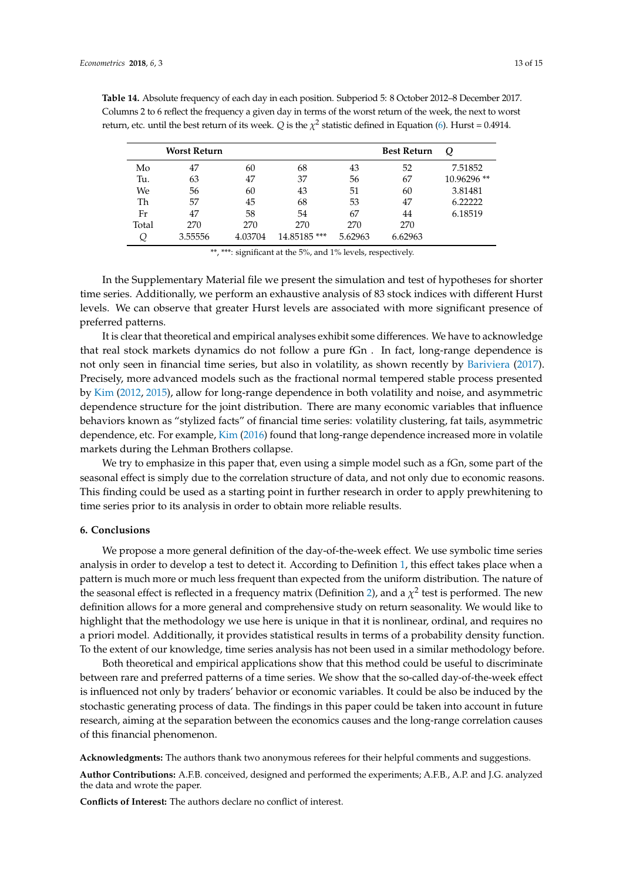|       | <b>Worst Return</b> |         |             |         | <b>Best Return</b> | O          |
|-------|---------------------|---------|-------------|---------|--------------------|------------|
| Mo    | 47                  | 60      | 68          | 43      | 52                 | 7.51852    |
| Tu.   | 63                  | 47      | 37          | 56      | 67                 | 10.96296** |
| We    | 56                  | 60      | 43          | 51      | 60                 | 3.81481    |
| Th    | 57                  | 45      | 68          | 53      | 47                 | 6.22222    |
| Fr    | 47                  | 58      | 54          | 67      | 44                 | 6.18519    |
| Total | 270                 | 270     | 270         | 270     | 270                |            |
|       | 3.55556             | 4.03704 | 14.85185*** | 5.62963 | 6.62963            |            |

<span id="page-12-1"></span>**Table 14.** Absolute frequency of each day in each position. Subperiod 5: 8 October 2012–8 December 2017. Columns 2 to 6 reflect the frequency a given day in terms of the worst return of the week, the next to worst return, etc. until the best return of its week. *Q* is the  $\chi^2$  statistic defined in Equation [\(6\)](#page-4-3). Hurst = 0.4914.

\*\*, \*\*\*: significant at the 5%, and 1% levels, respectively.

In the Supplementary Material file we present the simulation and test of hypotheses for shorter time series. Additionally, we perform an exhaustive analysis of 83 stock indices with different Hurst levels. We can observe that greater Hurst levels are associated with more significant presence of preferred patterns.

It is clear that theoretical and empirical analyses exhibit some differences. We have to acknowledge that real stock markets dynamics do not follow a pure fGn . In fact, long-range dependence is not only seen in financial time series, but also in volatility, as shown recently by [Bariviera](#page-13-24) [\(2017\)](#page-13-24). Precisely, more advanced models such as the fractional normal tempered stable process presented by [Kim](#page-13-25) [\(2012,](#page-13-25) [2015\)](#page-14-19), allow for long-range dependence in both volatility and noise, and asymmetric dependence structure for the joint distribution. There are many economic variables that influence behaviors known as "stylized facts" of financial time series: volatility clustering, fat tails, asymmetric dependence, etc. For example, [Kim](#page-14-20) [\(2016\)](#page-14-20) found that long-range dependence increased more in volatile markets during the Lehman Brothers collapse.

We try to emphasize in this paper that, even using a simple model such as a fGn, some part of the seasonal effect is simply due to the correlation structure of data, and not only due to economic reasons. This finding could be used as a starting point in further research in order to apply prewhitening to time series prior to its analysis in order to obtain more reliable results.

## <span id="page-12-0"></span>**6. Conclusions**

We propose a more general definition of the day-of-the-week effect. We use symbolic time series analysis in order to develop a test to detect it. According to Definition [1,](#page-3-3) this effect takes place when a pattern is much more or much less frequent than expected from the uniform distribution. The nature of the seasonal effect is reflected in a frequency matrix (Definition [2\)](#page-3-4), and a  $\chi^2$  test is performed. The new definition allows for a more general and comprehensive study on return seasonality. We would like to highlight that the methodology we use here is unique in that it is nonlinear, ordinal, and requires no a priori model. Additionally, it provides statistical results in terms of a probability density function. To the extent of our knowledge, time series analysis has not been used in a similar methodology before.

Both theoretical and empirical applications show that this method could be useful to discriminate between rare and preferred patterns of a time series. We show that the so-called day-of-the-week effect is influenced not only by traders' behavior or economic variables. It could be also be induced by the stochastic generating process of data. The findings in this paper could be taken into account in future research, aiming at the separation between the economics causes and the long-range correlation causes of this financial phenomenon.

**Acknowledgments:** The authors thank two anonymous referees for their helpful comments and suggestions.

**Author Contributions:** A.F.B. conceived, designed and performed the experiments; A.F.B., A.P. and J.G. analyzed the data and wrote the paper.

**Conflicts of Interest:** The authors declare no conflict of interest.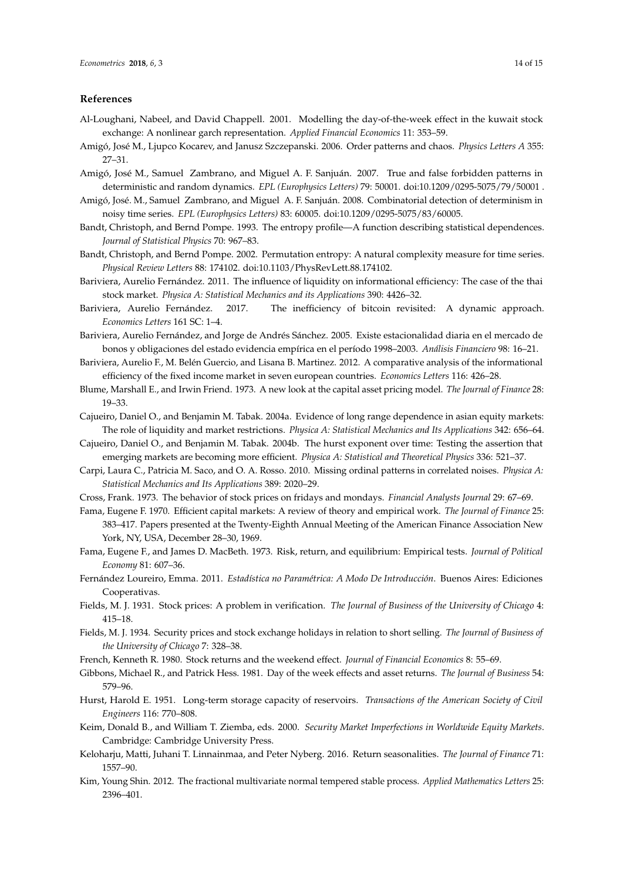#### **References**

- <span id="page-13-19"></span>Al-Loughani, Nabeel, and David Chappell. 2001. Modelling the day-of-the-week effect in the kuwait stock exchange: A nonlinear garch representation. *Applied Financial Economics* 11: 353–59.
- <span id="page-13-13"></span>Amigó, José M., Ljupco Kocarev, and Janusz Szczepanski. 2006. Order patterns and chaos. *Physics Letters A* 355: 27–31.
- <span id="page-13-17"></span>Amigó, José M., Samuel Zambrano, and Miguel A. F. Sanjuán. 2007. True and false forbidden patterns in deterministic and random dynamics. *EPL (Europhysics Letters)* 79: 50001. doi:10.1209/0295-5075/79/50001 .
- <span id="page-13-18"></span>Amigó, José. M., Samuel Zambrano, and Miguel A. F. Sanjuán. 2008. Combinatorial detection of determinism in noisy time series. *EPL (Europhysics Letters)* 83: 60005. doi:10.1209/0295-5075/83/60005.
- <span id="page-13-12"></span>Bandt, Christoph, and Bernd Pompe. 1993. The entropy profile—A function describing statistical dependences. *Journal of Statistical Physics* 70: 967–83.
- <span id="page-13-11"></span>Bandt, Christoph, and Bernd Pompe. 2002. Permutation entropy: A natural complexity measure for time series. *Physical Review Letters* 88: 174102. doi:10.1103/PhysRevLett.88.174102.
- <span id="page-13-14"></span>Bariviera, Aurelio Fernández. 2011. The influence of liquidity on informational efficiency: The case of the thai stock market. *Physica A: Statistical Mechanics and its Applications* 390: 4426–32.
- <span id="page-13-24"></span>Bariviera, Aurelio Fernández. 2017. The inefficiency of bitcoin revisited: A dynamic approach. *Economics Letters* 161 SC: 1–4.
- <span id="page-13-10"></span>Bariviera, Aurelio Fernández, and Jorge de Andrés Sánchez. 2005. Existe estacionalidad diaria en el mercado de bonos y obligaciones del estado evidencia empírica en el período 1998–2003. *Análisis Financiero* 98: 16–21.
- <span id="page-13-15"></span>Bariviera, Aurelio F., M. Belén Guercio, and Lisana B. Martinez. 2012. A comparative analysis of the informational efficiency of the fixed income market in seven european countries. *Economics Letters* 116: 426–28.
- <span id="page-13-1"></span>Blume, Marshall E., and Irwin Friend. 1973. A new look at the capital asset pricing model. *The Journal of Finance* 28: 19–33.
- <span id="page-13-22"></span>Cajueiro, Daniel O., and Benjamin M. Tabak. 2004a. Evidence of long range dependence in asian equity markets: The role of liquidity and market restrictions. *Physica A: Statistical Mechanics and Its Applications* 342: 656–64.
- <span id="page-13-23"></span>Cajueiro, Daniel O., and Benjamin M. Tabak. 2004b. The hurst exponent over time: Testing the assertion that emerging markets are becoming more efficient. *Physica A: Statistical and Theoretical Physics* 336: 521–37.
- <span id="page-13-16"></span>Carpi, Laura C., Patricia M. Saco, and O. A. Rosso. 2010. Missing ordinal patterns in correlated noises. *Physica A: Statistical Mechanics and Its Applications* 389: 2020–29.
- <span id="page-13-5"></span><span id="page-13-0"></span>Cross, Frank. 1973. The behavior of stock prices on fridays and mondays. *Financial Analysts Journal* 29: 67–69.
- Fama, Eugene F. 1970. Efficient capital markets: A review of theory and empirical work. *The Journal of Finance* 25: 383–417. Papers presented at the Twenty-Eighth Annual Meeting of the American Finance Association New York, NY, USA, December 28–30, 1969.
- <span id="page-13-2"></span>Fama, Eugene F., and James D. MacBeth. 1973. Risk, return, and equilibrium: Empirical tests. *Journal of Political Economy* 81: 607–36.
- <span id="page-13-20"></span>Fernández Loureiro, Emma. 2011. *Estadística no Paramétrica: A Modo De Introducción*. Buenos Aires: Ediciones Cooperativas.
- <span id="page-13-3"></span>Fields, M. J. 1931. Stock prices: A problem in verification. *The Journal of Business of the University of Chicago* 4: 415–18.
- <span id="page-13-4"></span>Fields, M. J. 1934. Security prices and stock exchange holidays in relation to short selling. *The Journal of Business of the University of Chicago* 7: 328–38.
- <span id="page-13-7"></span>French, Kenneth R. 1980. Stock returns and the weekend effect. *Journal of Financial Economics* 8: 55–69.
- <span id="page-13-6"></span>Gibbons, Michael R., and Patrick Hess. 1981. Day of the week effects and asset returns. *The Journal of Business* 54: 579–96.
- <span id="page-13-21"></span>Hurst, Harold E. 1951. Long-term storage capacity of reservoirs. *Transactions of the American Society of Civil Engineers* 116: 770–808.
- <span id="page-13-8"></span>Keim, Donald B., and William T. Ziemba, eds. 2000. *Security Market Imperfections in Worldwide Equity Markets*. Cambridge: Cambridge University Press.
- <span id="page-13-9"></span>Keloharju, Matti, Juhani T. Linnainmaa, and Peter Nyberg. 2016. Return seasonalities. *The Journal of Finance* 71: 1557–90.
- <span id="page-13-25"></span>Kim, Young Shin. 2012. The fractional multivariate normal tempered stable process. *Applied Mathematics Letters* 25: 2396–401.